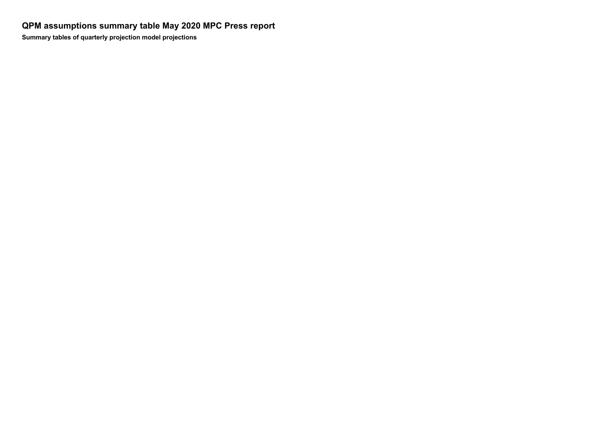**QPM assumptions summary table May 2020 MPC Press report Summary tables of quarterly projection model projections**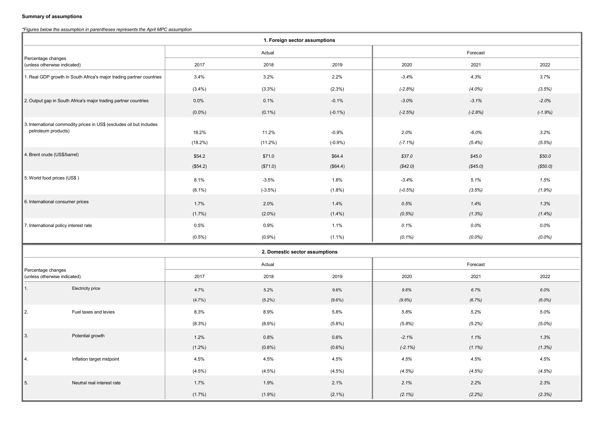## **Summary of assumptions**

## *\* Figures below the assumption in parentheses represents the April MPC assumption*

| 1. Foreign sector assumptions                                                               |                            |                     |                                |                      |                      |                   |                    |
|---------------------------------------------------------------------------------------------|----------------------------|---------------------|--------------------------------|----------------------|----------------------|-------------------|--------------------|
| Percentage changes<br>(unless otherwise indicated)                                          |                            | Actual              |                                |                      | Forecast             |                   |                    |
|                                                                                             |                            | 2017                | 2018                           | 2019                 | 2020                 | 2021              | 2022               |
| 1. Real GDP growth in South Africa's major trading partner countries                        |                            | 3.4%                | 3.2%                           | 2.2%                 | $-3.4%$              | 4.3%              | 3.7%               |
|                                                                                             |                            | (3.4%)              | (3.3%)                         | $(2.3\%)$            | $(-2.8%)$            | $(4.0\%)$         | (3.5%)             |
| 2. Output gap in South Africa's major trading partner countries                             |                            | 0.0%                | 0.1%                           | $-0.1%$              | $-3.0%$              | $-3.1%$           | $-2.0%$            |
|                                                                                             |                            | $(0.0\%)$           | $(0.1\%)$                      | $(-0.1\%)$           | $(-2.5%)$            | $(-2.8%)$         | $(-1.9%)$          |
| 3. International commodity prices in US\$ (excludes oil but includes<br>petroleum products) |                            | 18.2%<br>$(18.2\%)$ | 11.2%<br>$(11.2\%)$            | $-0.9%$<br>$(-0.9%)$ | 2.0%<br>$(-7.1%)$    | $-6.0%$<br>(5.4%) | 3.2%<br>(5.5%)     |
| 4. Brent crude (US\$/barrel)                                                                |                            | \$54.2<br>(\$54.2)  | \$71.0<br>(\$71.0)             | \$64.4<br>(\$64.4)   | \$37.0<br>(\$42.0)   | \$45.0<br>(S45.0) | \$50.0<br>(\$50.0) |
| 5. World food prices (US\$)                                                                 |                            | 8.1%<br>$(8.1\%)$   | $-3.5%$<br>$(-3.5%)$           | 1.8%<br>$(1.8\%)$    | $-3.4%$<br>$(-0.5%)$ | 5.1%<br>(3.5%)    | 1.5%<br>(1.9%)     |
| 6. International consumer prices                                                            |                            | 1.7%<br>$(1.7\%)$   | 2.0%<br>$(2.0\%)$              | 1.4%<br>$(1.4\%)$    | 0.5%<br>(0.5%)       | 1.4%<br>(1.3%)    | 1.3%<br>$(1.4\%)$  |
| 7. International policy interest rate                                                       |                            | 0.5%                | 0.9%                           | 1.1%                 | 0.1%                 | 0.0%              | 0.0%               |
|                                                                                             |                            | $(0.5\%)$           | (0.9%                          | $(1.1\%)$            | $(0.1\%)$            | $(0.0\%)$         | $(0.0\%)$          |
|                                                                                             |                            |                     | 2. Domestic sector assumptions |                      |                      |                   |                    |
|                                                                                             |                            | Actual              |                                | Forecast             |                      |                   |                    |
| Percentage changes<br>(unless otherwise indicated)                                          |                            | 2017                | 2018                           | 2019                 | 2020                 | 2021              | 2022               |
| 1.                                                                                          | Electricity price          | 4.7%                | 5.2%                           | 9.6%                 | 9.6%                 | 6.7%              | 6.0%               |
|                                                                                             |                            | (4.7%)              | $(5.2\%)$                      | $(9.6\%)$            | $(9.6\%)$            | (6.7%)            | $(6.0\%)$          |
| l 2.                                                                                        | Fuel taxes and levies      | 8.3%                | 8.9%                           | 5.8%                 | 5.8%                 | 5.2%              | 5.0%               |
|                                                                                             |                            | $(8.3\%)$           | $(8.9\%)$                      | $(5.8\%)$            | (5.8%)               | (5.2%)            | $(5.0\%)$          |
| IЗ.                                                                                         | Potential growth           | 1.2%                | 0.8%                           | 0.6%                 | $-2.1%$              | 1.1%              | 1.3%               |
|                                                                                             |                            | $(1.2\%)$           | (0.8%                          | $(0.6\%)$            | $(-2.1\%)$           | $(1.1\%)$         | (1.3%)             |
| 4.                                                                                          | Inflation target midpoint  | 4.5%                | 4.5%                           | 4.5%                 | 4.5%                 | 4.5%              | 4.5%               |
|                                                                                             |                            | $(4.5\%)$           | $(4.5\%)$                      | $(4.5\%)$            | (4.5%)               | (4.5%)            | (4.5%)             |
| 5.                                                                                          | Neutral real interest rate | 1.7%                | 1.9%                           | 2.1%                 | 2.1%                 | 2.2%              | 2.3%               |
|                                                                                             |                            | $(1.7\%)$           | $(1.9\%)$                      | $(2.1\%)$            | $(2.1\%)$            | (2.2%)            | (2.3%)             |